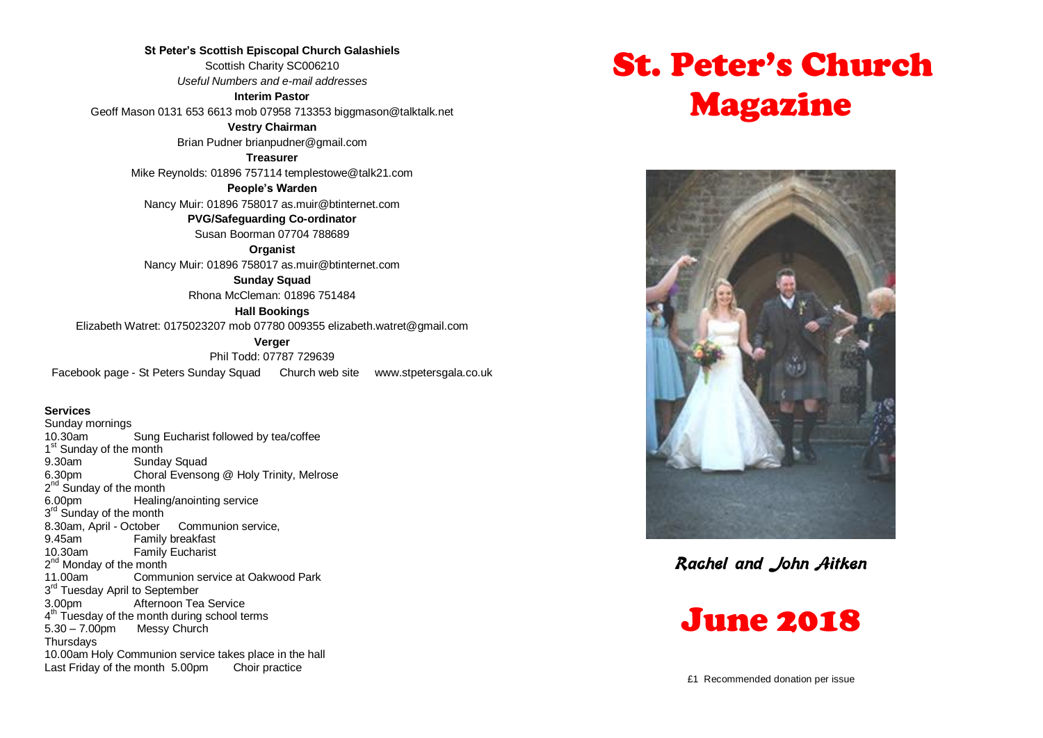**St Peter's Scottish Episcopal Church Galashiels** Scottish Charity SC006210 *Useful Numbers and e-mail addresses* **Interim Pastor**

Geoff Mason 0131 653 6613 mob 07958 713353 biggmason@talktalk.net

**Vestry Chairman**

Brian Pudner brianpudner@gmail.com

**Treasurer**

Mike Reynolds: 01896 757114 templestowe@talk21.com

**People's Warden**

Nancy Muir: 01896 758017 as.muir@btinternet.com

**PVG/Safeguarding Co-ordinator** Susan Boorman 07704 788689

**Organist** Nancy Muir: 01896 758017 as.muir@btinternet.com

> **Sunday Squad** Rhona McCleman: 01896 751484

> > **Hall Bookings**

Elizabeth Watret: 0175023207 mob 07780 009355 elizabeth.watret@gmail.com

**Verger**

Phil Todd: 07787 729639

Facebook page - St Peters Sunday Squad Church web site www.stpetersgala.co.uk

#### **Services**

Sunday mornings 10.30am Sung Eucharist followed by tea/coffee 1<sup>st</sup> Sunday of the month 9.30am Sunday Squad 6.30pm Choral Evensong @ Holy Trinity, Melrose 2<sup>nd</sup> Sunday of the month 6.00pm Healing/anointing service 3<sup>rd</sup> Sunday of the month 8.30am, April - October Communion service,<br>9.45am Family breakfast Family breakfast 10.30am Family Eucharist 2<sup>nd</sup> Monday of the month 11.00am Communion service at Oakwood Park 3<sup>rd</sup> Tuesday April to September 3.00pm Afternoon Tea Service 4<sup>th</sup> Tuesday of the month during school terms 5.30 – 7.00pm Messy Church **Thursdays** 10.00am Holy Communion service takes place in the hall Last Friday of the month 5.00pm Choir practice

# St. Peter's Church Magazine



**Rachel and John Aitken**

# June 2018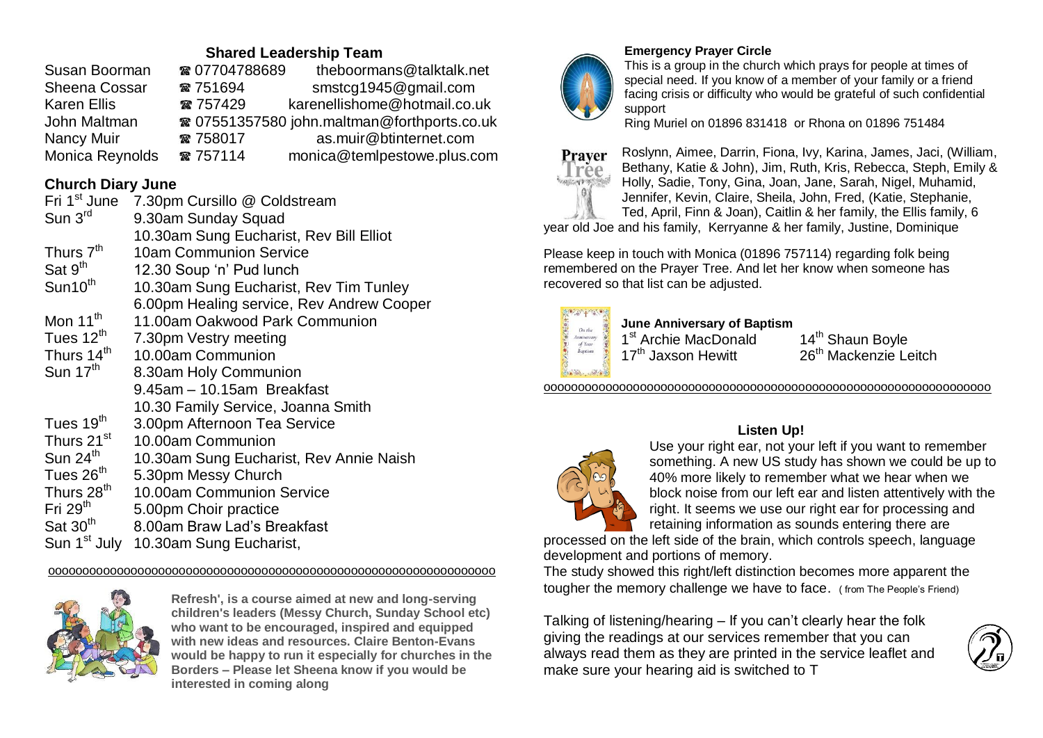## **Shared Leadership Team**

| Susan Boorman        | ☎ 07704788689 | theboormans@talktalk.net                               |
|----------------------|---------------|--------------------------------------------------------|
| <b>Sheena Cossar</b> | ☎ 751694      | smstcg1945@gmail.com                                   |
| <b>Karen Ellis</b>   | ☎ 757429      | karenellishome@hotmail.co.uk                           |
| John Maltman         |               | <sup>3</sup> 07551357580 john.maltman@forthports.co.uk |
| Nancy Muir           | ☎ 758017      | as.muir@btinternet.com                                 |
| Monica Reynolds      | ☎ 757114      | monica@temlpestowe.plus.com                            |

# **Church Diary June**

| Fri 1 <sup>st</sup> June | 7.30pm Cursillo @ Coldstream              |
|--------------------------|-------------------------------------------|
| Sun $3rd$                | 9.30am Sunday Squad                       |
|                          |                                           |
|                          | 10.30am Sung Eucharist, Rev Bill Elliot   |
| Thurs 7 <sup>th</sup>    | <b>10am Communion Service</b>             |
| Sat 9 <sup>th</sup>      | 12.30 Soup 'n' Pud lunch                  |
| Sun10 <sup>th</sup>      | 10.30am Sung Eucharist, Rev Tim Tunley    |
|                          | 6.00pm Healing service, Rev Andrew Cooper |
| Mon 11 <sup>th</sup>     | 11.00am Oakwood Park Communion            |
| Tues $12th$              | 7.30pm Vestry meeting                     |
| Thurs 14 <sup>th</sup>   | 10.00am Communion                         |
| Sun $17th$               | 8.30am Holy Communion                     |
|                          | 9.45am - 10.15am Breakfast                |
|                          | 10.30 Family Service, Joanna Smith        |
| Tues 19 <sup>th</sup>    | 3.00pm Afternoon Tea Service              |
| Thurs 21 <sup>st</sup>   | 10.00am Communion                         |
| Sun 24 <sup>th</sup>     | 10.30am Sung Eucharist, Rev Annie Naish   |
| Tues 26 <sup>th</sup>    | 5.30pm Messy Church                       |
| Thurs 28 <sup>th</sup>   | 10.00am Communion Service                 |
| Fri $29th$               | 5.00pm Choir practice                     |
| Sat 30 <sup>th</sup>     | 8.00am Braw Lad's Breakfast               |
| Sun 1 <sup>st</sup> July | 10.30am Sung Eucharist,                   |

ooooooooooooooooooooooooooooooooooooooooooooooooooooooooooooooooo



**Refresh', is a course aimed at new and long-serving children's leaders (Messy Church, Sunday School etc) who want to be encouraged, inspired and equipped with new ideas and resources. Claire Benton-Evans would be happy to run it especially for churches in the Borders – Please let Sheena know if you would be interested in coming along**



### **Emergency Prayer Circle**

This is a group in the church which prays for people at times of special need. If you know of a member of your family or a friend facing crisis or difficulty who would be grateful of such confidential support

Ring Muriel on 01896 831418 or Rhona on 01896 751484



Roslynn, Aimee, Darrin, Fiona, Ivy, Karina, James, Jaci, (William, Bethany, Katie & John), Jim, Ruth, Kris, Rebecca, Steph, Emily & Holly, Sadie, Tony, Gina, Joan, Jane, Sarah, Nigel, Muhamid, Jennifer, Kevin, Claire, Sheila, John, Fred, (Katie, Stephanie, Ted, April, Finn & Joan), Caitlin & her family, the Ellis family, 6

year old Joe and his family, Kerryanne & her family, Justine, Dominique

Please keep in touch with Monica (01896 757114) regarding folk being remembered on the Prayer Tree. And let her know when someone has recovered so that list can be adjusted.



**June Anniversary of Baptism** 1<sup>st</sup> Archie MacDonald 14<sup>th</sup> Shaun Boyle

17<sup>th</sup> Jaxson Hewitt 26<sup>th</sup> Mackenzie Leitch

ooooooooooooooooooooooooooooooooooooooooooooooooooooooooooooooooo

#### **Listen Up!**



Use your right ear, not your left if you want to remember something. A new US study has shown we could be up to 40% more likely to remember what we hear when we block noise from our left ear and listen attentively with the right. It seems we use our right ear for processing and retaining information as sounds entering there are

processed on the left side of the brain, which controls speech, language development and portions of memory.

The study showed this right/left distinction becomes more apparent the tougher the memory challenge we have to face. ( from The People's Friend)

Talking of listening/hearing – If you can't clearly hear the folk giving the readings at our services remember that you can always read them as they are printed in the service leaflet and make sure your hearing aid is switched to T

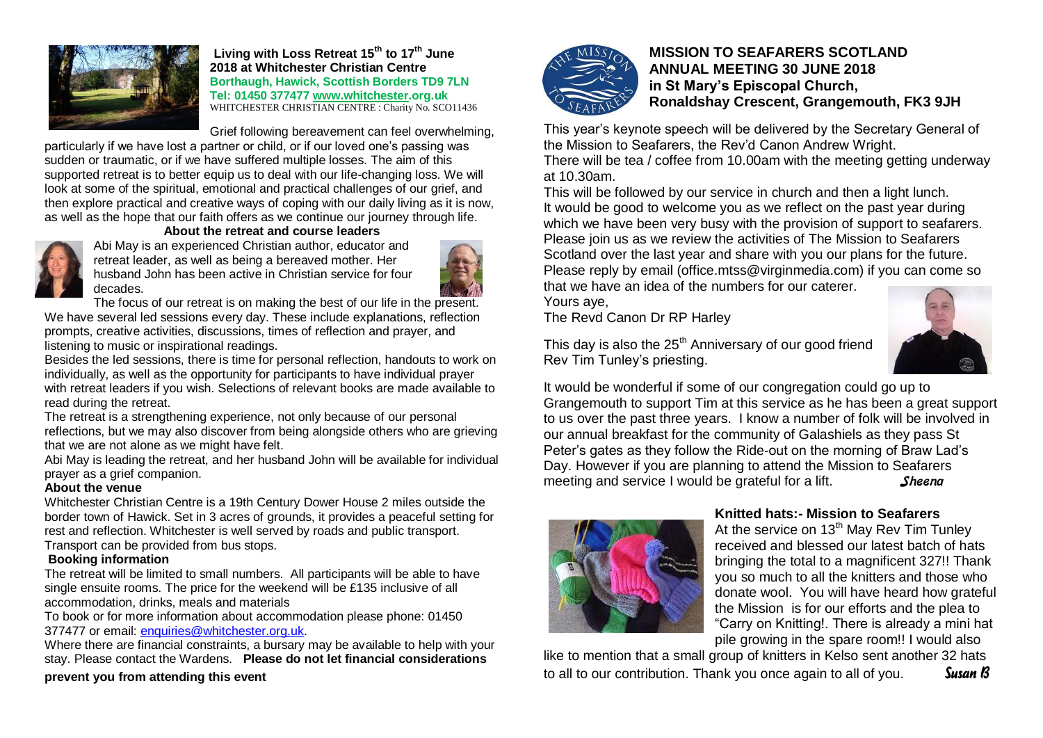

**Living with Loss Retreat 15th to 17th June 2018 at Whitchester Christian Centre Borthaugh, Hawick, Scottish Borders TD9 7LN Tel: 01450 377477 [www.whitchester.](http://www.whitchester/)org.uk** WHITCHESTER CHRISTIAN CENTRE : Charity No. SCO11436

Grief following bereavement can feel overwhelming,

particularly if we have lost a partner or child, or if our loved one's passing was sudden or traumatic, or if we have suffered multiple losses. The aim of this supported retreat is to better equip us to deal with our life-changing loss. We will look at some of the spiritual, emotional and practical challenges of our grief, and then explore practical and creative ways of coping with our daily living as it is now, as well as the hope that our faith offers as we continue our journey through life.

#### **About the retreat and course leaders**



Abi May is an experienced Christian author, educator and retreat leader, as well as being a bereaved mother. Her husband John has been active in Christian service for four decades.



The focus of our retreat is on making the best of our life in the present. We have several led sessions every day. These include explanations, reflection prompts, creative activities, discussions, times of reflection and prayer, and listening to music or inspirational readings.

Besides the led sessions, there is time for personal reflection, handouts to work on individually, as well as the opportunity for participants to have individual prayer with retreat leaders if you wish. Selections of relevant books are made available to read during the retreat.

The retreat is a strengthening experience, not only because of our personal reflections, but we may also discover from being alongside others who are grieving that we are not alone as we might have felt.

Abi May is leading the retreat, and her husband John will be available for individual prayer as a grief companion.

#### **About the venue**

Whitchester Christian Centre is a 19th Century Dower House 2 miles outside the border town of Hawick. Set in 3 acres of grounds, it provides a peaceful setting for rest and reflection. Whitchester is well served by roads and public transport.

Transport can be provided from bus stops.

#### **Booking information**

The retreat will be limited to small numbers. All participants will be able to have single ensuite rooms. The price for the weekend will be £135 inclusive of all accommodation, drinks, meals and materials

To book or for more information about accommodation please phone: 01450 377477 or email: [enquiries@whitchester.org.uk.](mailto:enquiries@whitchester.org.uk)

Where there are financial constraints, a bursary may be available to help with your stay. Please contact the Wardens. **Please do not let financial considerations** 

**prevent you from attending this event**



#### **MISSION TO SEAFARERS SCOTLAND ANNUAL MEETING 30 JUNE 2018 in St Mary's Episcopal Church, Ronaldshay Crescent, Grangemouth, FK3 9JH**

This year's keynote speech will be delivered by the Secretary General of the Mission to Seafarers, the Rev'd Canon Andrew Wright.

There will be tea / coffee from 10.00am with the meeting getting underway at 10.30am.

This will be followed by our service in church and then a light lunch. It would be good to welcome you as we reflect on the past year during which we have been very busy with the provision of support to seafarers. Please join us as we review the activities of The Mission to Seafarers Scotland over the last year and share with you our plans for the future. Please reply by email (office.mtss@virginmedia.com) if you can come so that we have an idea of the numbers for our caterer.

Yours aye,

The Revd Canon Dr RP Harley

This day is also the  $25<sup>th</sup>$  Anniversary of our good friend Rev Tim Tunley's priesting.

It would be wonderful if some of our congregation could go up to Grangemouth to support Tim at this service as he has been a great support to us over the past three years. I know a number of folk will be involved in our annual breakfast for the community of Galashiels as they pass St Peter's gates as they follow the Ride-out on the morning of Braw Lad's Day. However if you are planning to attend the Mission to Seafarers meeting and service I would be grateful for a lift. Sheena



#### **Knitted hats:- Mission to Seafarers**

At the service on  $13<sup>th</sup>$  May Rev Tim Tunley received and blessed our latest batch of hats bringing the total to a magnificent 327!! Thank you so much to all the knitters and those who donate wool. You will have heard how grateful the Mission is for our efforts and the plea to "Carry on Knitting!. There is already a mini hat pile growing in the spare room!! I would also

like to mention that a small group of knitters in Kelso sent another 32 hats to all to our contribution. Thank you once again to all of you. *Susan B*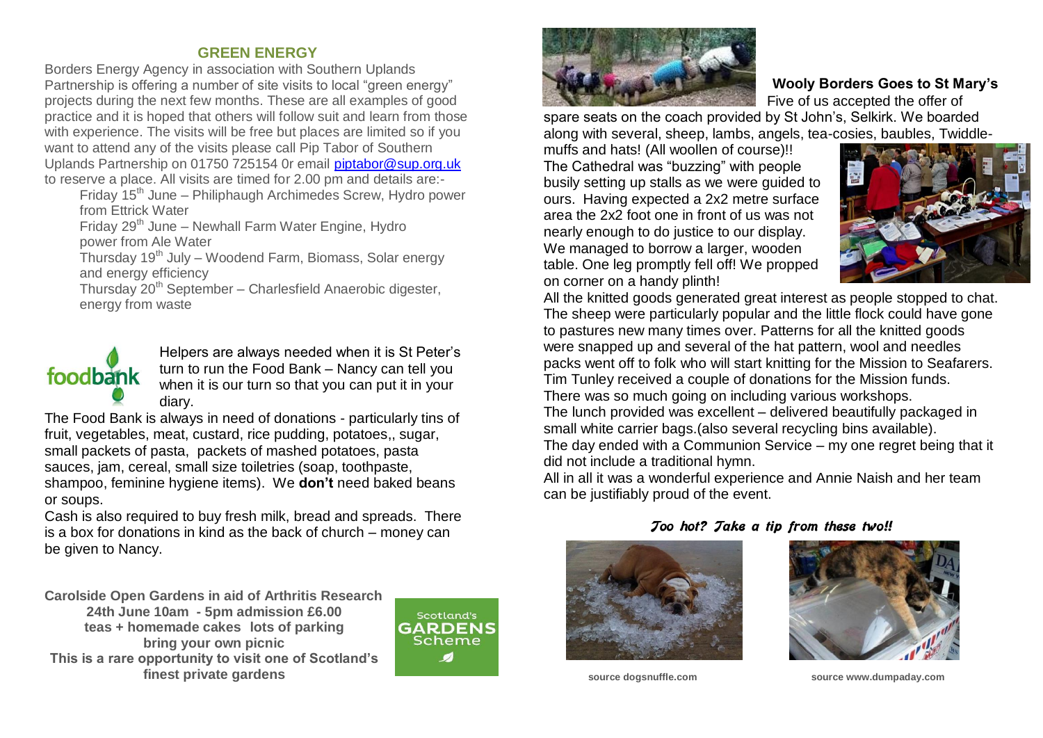### **GREEN ENERGY**

Borders Energy Agency in association with Southern Uplands Partnership is offering a number of site visits to local "green energy" projects during the next few months. These are all examples of good practice and it is hoped that others will follow suit and learn from those with experience. The visits will be free but places are limited so if you want to attend any of the visits please call Pip Tabor of Southern Uplands Partnership on 01750 725154 0r email [piptabor@sup.org.uk](mailto:piptabor@sup.org.uk) to reserve a place. All visits are timed for 2.00 pm and details are:-

Friday 15<sup>th</sup> June – Philiphaugh Archimedes Screw, Hydro power from Ettrick Water

Friday  $29<sup>th</sup>$  June – Newhall Farm Water Engine, Hydro power from Ale Water

Thursday 19th July – Woodend Farm, Biomass, Solar energy and energy efficiency

Thursday 20<sup>th</sup> September - Charlesfield Anaerobic digester, energy from waste

# foodbank

Helpers are always needed when it is St Peter's turn to run the Food Bank – Nancy can tell you when it is our turn so that you can put it in your diary.

The Food Bank is always in need of donations - particularly tins of fruit, vegetables, meat, custard, rice pudding, potatoes,, sugar, small packets of pasta, packets of mashed potatoes, pasta sauces, jam, cereal, small size toiletries (soap, toothpaste, shampoo, feminine hygiene items). We **don't** need baked beans or soups.

Cash is also required to buy fresh milk, bread and spreads. There is a box for donations in kind as the back of church – money can be given to Nancy.

**Carolside Open Gardens in aid of Arthritis Research 24th June 10am - 5pm admission £6.00 teas + homemade cakes lots of parking bring your own picnic This is a rare opportunity to visit one of Scotland's finest private gardens**





#### **Wooly Borders Goes to St Mary's** Five of us accepted the offer of

spare seats on the coach provided by St John's, Selkirk. We boarded along with several, sheep, lambs, angels, tea-cosies, baubles, Twiddle-

muffs and hats! (All woollen of course)!! The Cathedral was "buzzing" with people busily setting up stalls as we were guided to ours. Having expected a 2x2 metre surface area the 2x2 foot one in front of us was not nearly enough to do justice to our display. We managed to borrow a larger, wooden table. One leg promptly fell off! We propped on corner on a handy plinth!



All the knitted goods generated great interest as people stopped to chat. The sheep were particularly popular and the little flock could have gone to pastures new many times over. Patterns for all the knitted goods were snapped up and several of the hat pattern, wool and needles packs went off to folk who will start knitting for the Mission to Seafarers. Tim Tunley received a couple of donations for the Mission funds. There was so much going on including various workshops. The lunch provided was excellent – delivered beautifully packaged in small white carrier bags.(also several recycling bins available). The day ended with a Communion Service – my one regret being that it did not include a traditional hymn.

All in all it was a wonderful experience and Annie Naish and her team can be justifiably proud of the event.

#### **Too hot? Take a tip from these two!!**





**source dogsnuffle.com source www.dumpaday.com**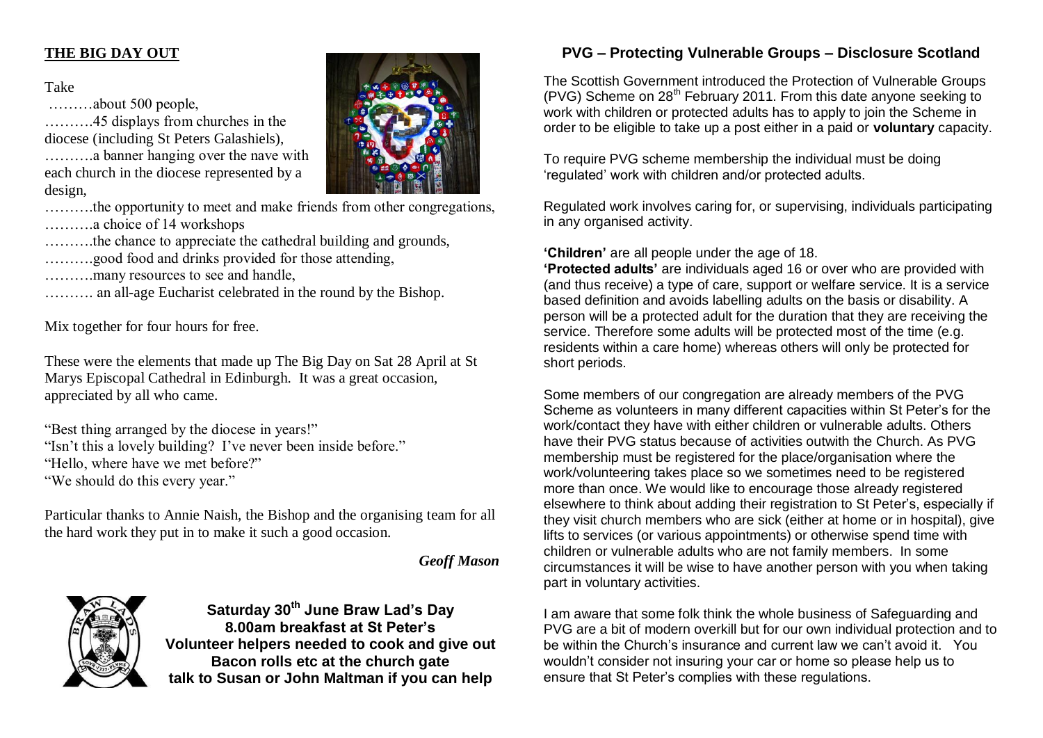## **THE BIG DAY OUT**

Take

………about 500 people,

……….45 displays from churches in the diocese (including St Peters Galashiels), ……….a banner hanging over the nave with each church in the diocese represented by a design,



……….the opportunity to meet and make friends from other congregations, ……….a choice of 14 workshops

....the chance to appreciate the cathedral building and grounds,

- ....good food and drinks provided for those attending.
- ……….many resources to see and handle,

………. an all-age Eucharist celebrated in the round by the Bishop.

Mix together for four hours for free.

These were the elements that made up The Big Day on Sat 28 April at St Marys Episcopal Cathedral in Edinburgh. It was a great occasion, appreciated by all who came.

"Best thing arranged by the diocese in years!" "Isn't this a lovely building? I've never been inside before." "Hello, where have we met before?" "We should do this every year."

Particular thanks to Annie Naish, the Bishop and the organising team for all the hard work they put in to make it such a good occasion.

#### *Geoff Mason*



**Saturday 30th June Braw Lad's Day 8.00am breakfast at St Peter's Volunteer helpers needed to cook and give out Bacon rolls etc at the church gate talk to Susan or John Maltman if you can help**

# **PVG – Protecting Vulnerable Groups – Disclosure Scotland**

The Scottish Government introduced the Protection of Vulnerable Groups (PVG) Scheme on  $28<sup>th</sup>$  February 2011. From this date anyone seeking to work with children or protected adults has to apply to join the Scheme in order to be eligible to take up a post either in a paid or **voluntary** capacity.

To require PVG scheme membership the individual must be doing 'regulated' work with children and/or protected adults.

Regulated work involves caring for, or supervising, individuals participating in any organised activity.

**'Children'** are all people under the age of 18.

**'Protected adults'** are individuals aged 16 or over who are provided with (and thus receive) a type of care, support or welfare service. It is a service based definition and avoids labelling adults on the basis or disability. A person will be a protected adult for the duration that they are receiving the service. Therefore some adults will be protected most of the time (e.g. residents within a care home) whereas others will only be protected for short periods.

Some members of our congregation are already members of the PVG Scheme as volunteers in many different capacities within St Peter's for the work/contact they have with either children or vulnerable adults. Others have their PVG status because of activities outwith the Church. As PVG membership must be registered for the place/organisation where the work/volunteering takes place so we sometimes need to be registered more than once. We would like to encourage those already registered elsewhere to think about adding their registration to St Peter's, especially if they visit church members who are sick (either at home or in hospital), give lifts to services (or various appointments) or otherwise spend time with children or vulnerable adults who are not family members. In some circumstances it will be wise to have another person with you when taking part in voluntary activities.

I am aware that some folk think the whole business of Safeguarding and PVG are a bit of modern overkill but for our own individual protection and to be within the Church's insurance and current law we can't avoid it. You wouldn't consider not insuring your car or home so please help us to ensure that St Peter's complies with these regulations.